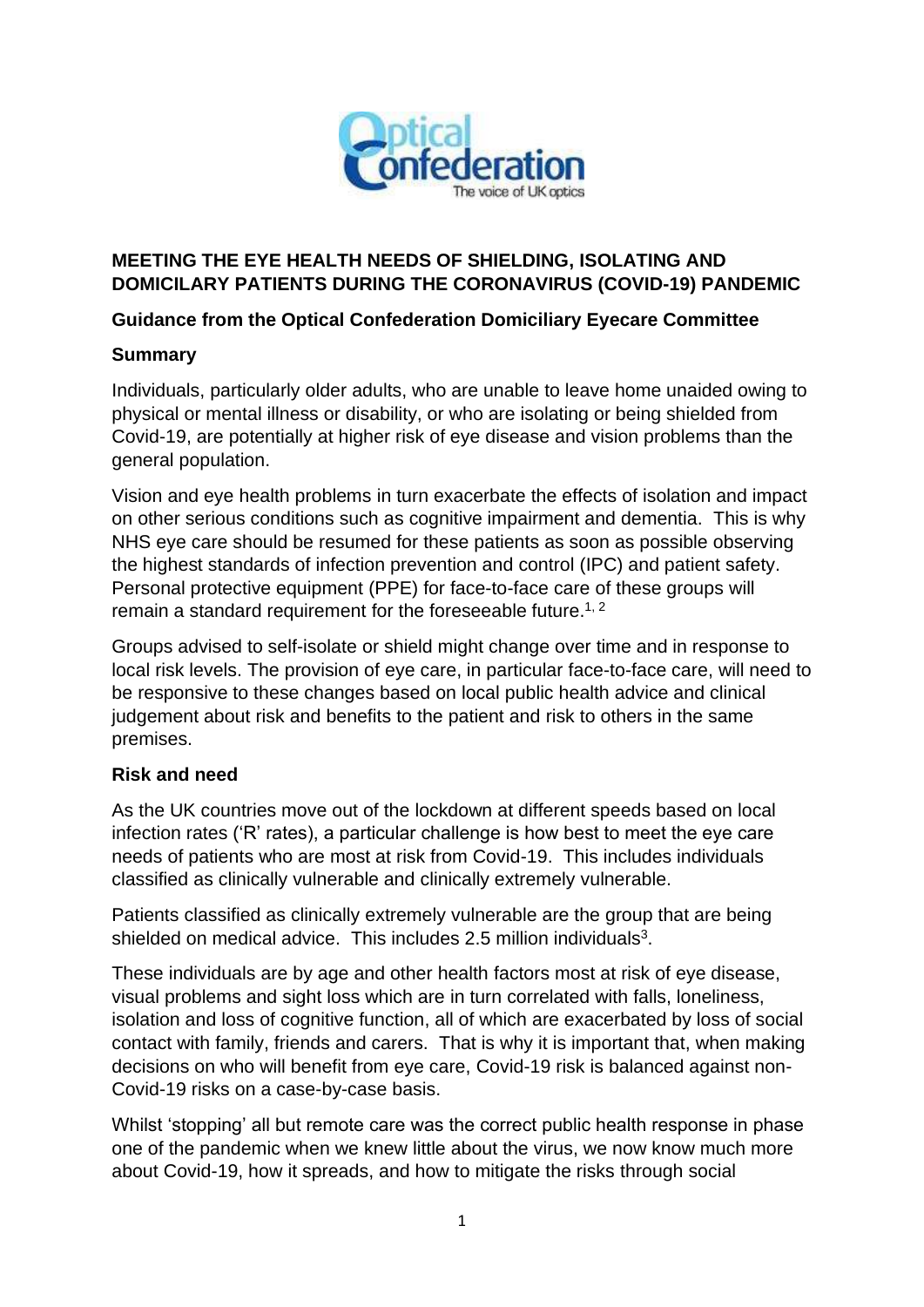

# **MEETING THE EYE HEALTH NEEDS OF SHIELDING, ISOLATING AND DOMICILARY PATIENTS DURING THE CORONAVIRUS (COVID-19) PANDEMIC**

# **Guidance from the Optical Confederation Domiciliary Eyecare Committee**

### **Summary**

Individuals, particularly older adults, who are unable to leave home unaided owing to physical or mental illness or disability, or who are isolating or being shielded from Covid-19, are potentially at higher risk of eye disease and vision problems than the general population.

Vision and eye health problems in turn exacerbate the effects of isolation and impact on other serious conditions such as cognitive impairment and dementia. This is why NHS eye care should be resumed for these patients as soon as possible observing the highest standards of infection prevention and control (IPC) and patient safety. Personal protective equipment (PPE) for face-to-face care of these groups will remain a standard requirement for the foreseeable future.<sup>1, 2</sup>

Groups advised to self-isolate or shield might change over time and in response to local risk levels. The provision of eye care, in particular face-to-face care, will need to be responsive to these changes based on local public health advice and clinical judgement about risk and benefits to the patient and risk to others in the same premises.

### **Risk and need**

As the UK countries move out of the lockdown at different speeds based on local infection rates ('R' rates), a particular challenge is how best to meet the eye care needs of patients who are most at risk from Covid-19. This includes individuals classified as clinically vulnerable and clinically extremely vulnerable.

Patients classified as clinically extremely vulnerable are the group that are being shielded on medical advice. This includes 2.5 million individuals $3$ .

These individuals are by age and other health factors most at risk of eye disease, visual problems and sight loss which are in turn correlated with falls, loneliness, isolation and loss of cognitive function, all of which are exacerbated by loss of social contact with family, friends and carers. That is why it is important that, when making decisions on who will benefit from eye care, Covid-19 risk is balanced against non-Covid-19 risks on a case-by-case basis.

Whilst 'stopping' all but remote care was the correct public health response in phase one of the pandemic when we knew little about the virus, we now know much more about Covid-19, how it spreads, and how to mitigate the risks through social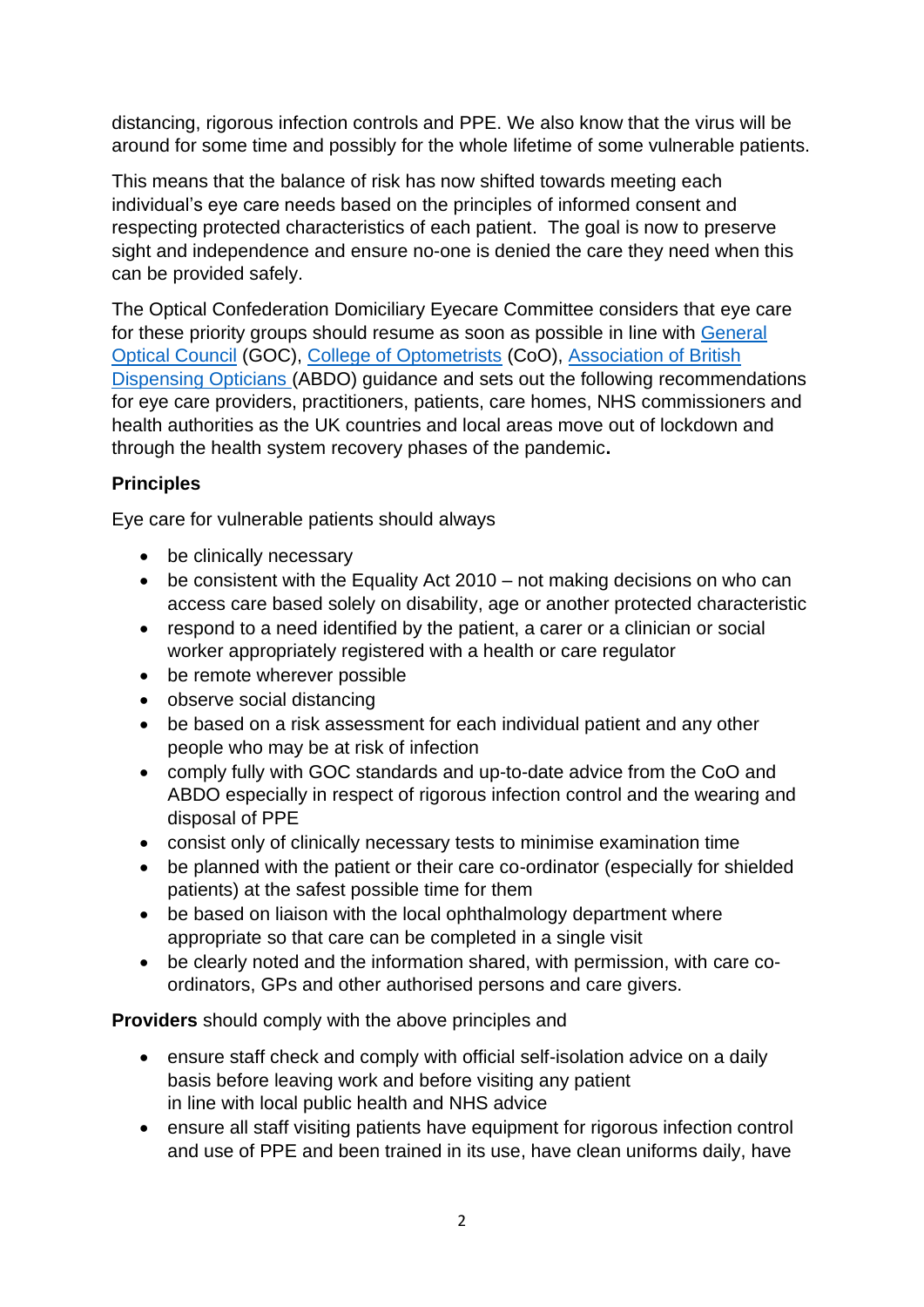distancing, rigorous infection controls and PPE. We also know that the virus will be around for some time and possibly for the whole lifetime of some vulnerable patients.

This means that the balance of risk has now shifted towards meeting each individual's eye care needs based on the principles of informed consent and respecting protected characteristics of each patient. The goal is now to preserve sight and independence and ensure no-one is denied the care they need when this can be provided safely.

The Optical Confederation Domiciliary Eyecare Committee considers that eye care for these priority groups should resume as soon as possible in line with [General](https://www.optical.org/en/news_publications/Publications/joint-statement-and-guidance-on-coronavirus-covid19/index.cfm)  [Optical Council](https://www.optical.org/en/news_publications/Publications/joint-statement-and-guidance-on-coronavirus-covid19/index.cfm) (GOC), [College of Optometrists](https://www.college-optometrists.org/the-college/media-hub/news-listing/coronavirus-2019-advice-for-optometrists.html) (CoO), [Association of British](https://www.abdo.org.uk/coronavirus/)  [Dispensing Opticians](https://www.abdo.org.uk/coronavirus/) (ABDO) guidance and sets out the following recommendations for eye care providers, practitioners, patients, care homes, NHS commissioners and health authorities as the UK countries and local areas move out of lockdown and through the health system recovery phases of the pandemic**.**

# **Principles**

Eye care for vulnerable patients should always

- be clinically necessary
- be consistent with the Equality Act 2010 not making decisions on who can access care based solely on disability, age or another protected characteristic
- respond to a need identified by the patient, a carer or a clinician or social worker appropriately registered with a health or care regulator
- be remote wherever possible
- observe social distancing
- be based on a risk assessment for each individual patient and any other people who may be at risk of infection
- comply fully with GOC standards and up-to-date advice from the CoO and ABDO especially in respect of rigorous infection control and the wearing and disposal of PPE
- consist only of clinically necessary tests to minimise examination time
- be planned with the patient or their care co-ordinator (especially for shielded patients) at the safest possible time for them
- be based on liaison with the local ophthalmology department where appropriate so that care can be completed in a single visit
- be clearly noted and the information shared, with permission, with care coordinators, GPs and other authorised persons and care givers.

**Providers** should comply with the above principles and

- ensure staff check and comply with official self-isolation advice on a daily basis before leaving work and before visiting any patient in line with local public health and NHS advice
- ensure all staff visiting patients have equipment for rigorous infection control and use of PPE and been trained in its use, have clean uniforms daily, have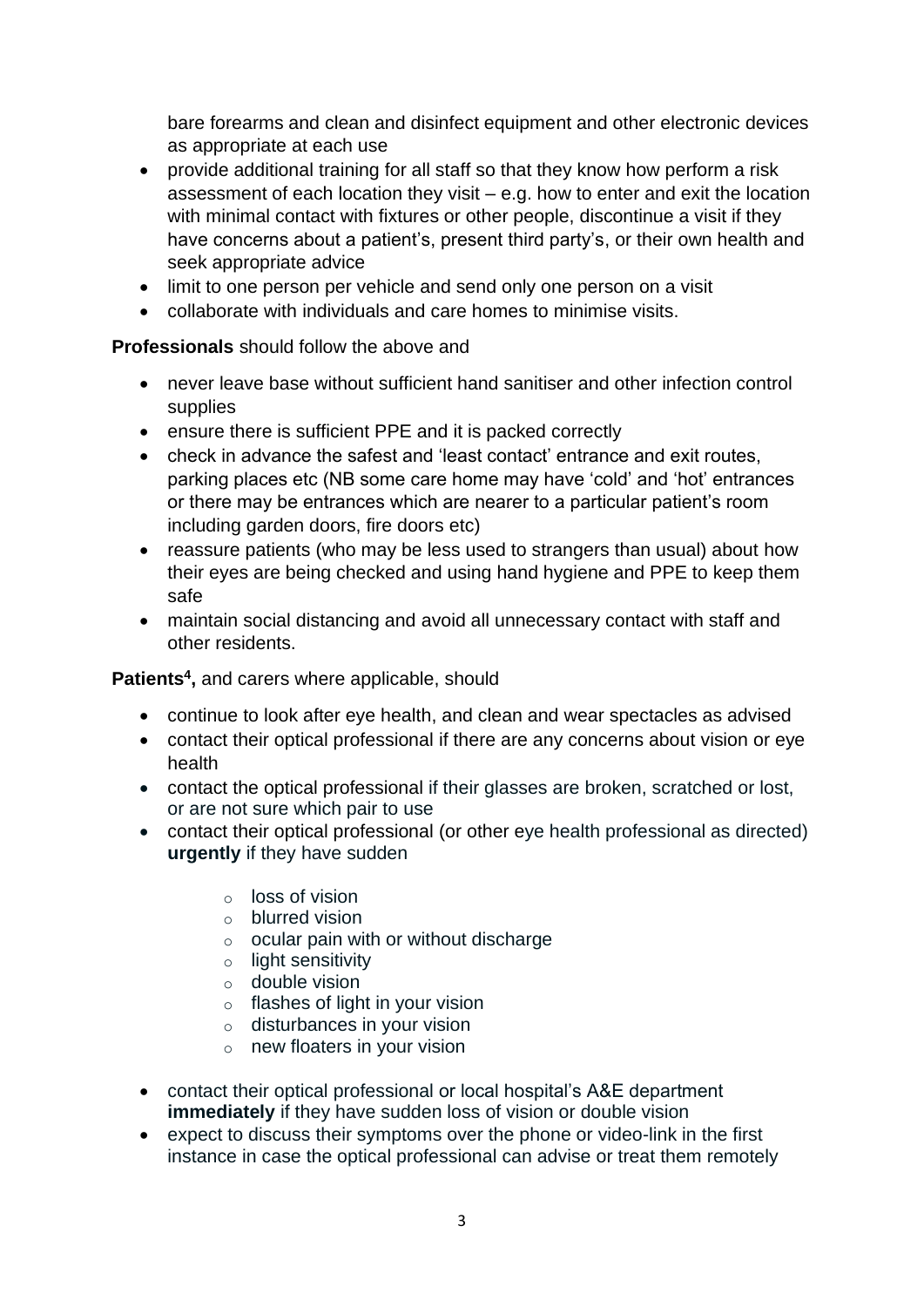bare forearms and clean and disinfect equipment and other electronic devices as appropriate at each use

- provide additional training for all staff so that they know how perform a risk assessment of each location they visit – e.g. how to enter and exit the location with minimal contact with fixtures or other people, discontinue a visit if they have concerns about a patient's, present third party's, or their own health and seek appropriate advice
- limit to one person per vehicle and send only one person on a visit
- collaborate with individuals and care homes to minimise visits.

### **Professionals** should follow the above and

- never leave base without sufficient hand sanitiser and other infection control supplies
- ensure there is sufficient PPE and it is packed correctly
- check in advance the safest and 'least contact' entrance and exit routes, parking places etc (NB some care home may have 'cold' and 'hot' entrances or there may be entrances which are nearer to a particular patient's room including garden doors, fire doors etc)
- reassure patients (who may be less used to strangers than usual) about how their eyes are being checked and using hand hygiene and PPE to keep them safe
- maintain social distancing and avoid all unnecessary contact with staff and other residents.

### **Patients<sup>4</sup> ,** and carers where applicable, should

- continue to look after eye health, and clean and wear spectacles as advised
- contact their optical professional if there are any concerns about vision or eye health
- contact the optical professional if their glasses are broken, scratched or lost, or are not sure which pair to use
- contact their optical professional (or other eye health professional as directed) **urgently** if they have sudden
	- o loss of vision
	- o blurred vision
	- o ocular pain with or without discharge
	- o light sensitivity
	- $\circ$  double vision
	- $\circ$  flashes of light in your vision
	- o disturbances in your vision
	- o new floaters in your vision
- contact their optical professional or local hospital's A&E department **immediately** if they have sudden loss of vision or double vision
- expect to discuss their symptoms over the phone or video-link in the first instance in case the optical professional can advise or treat them remotely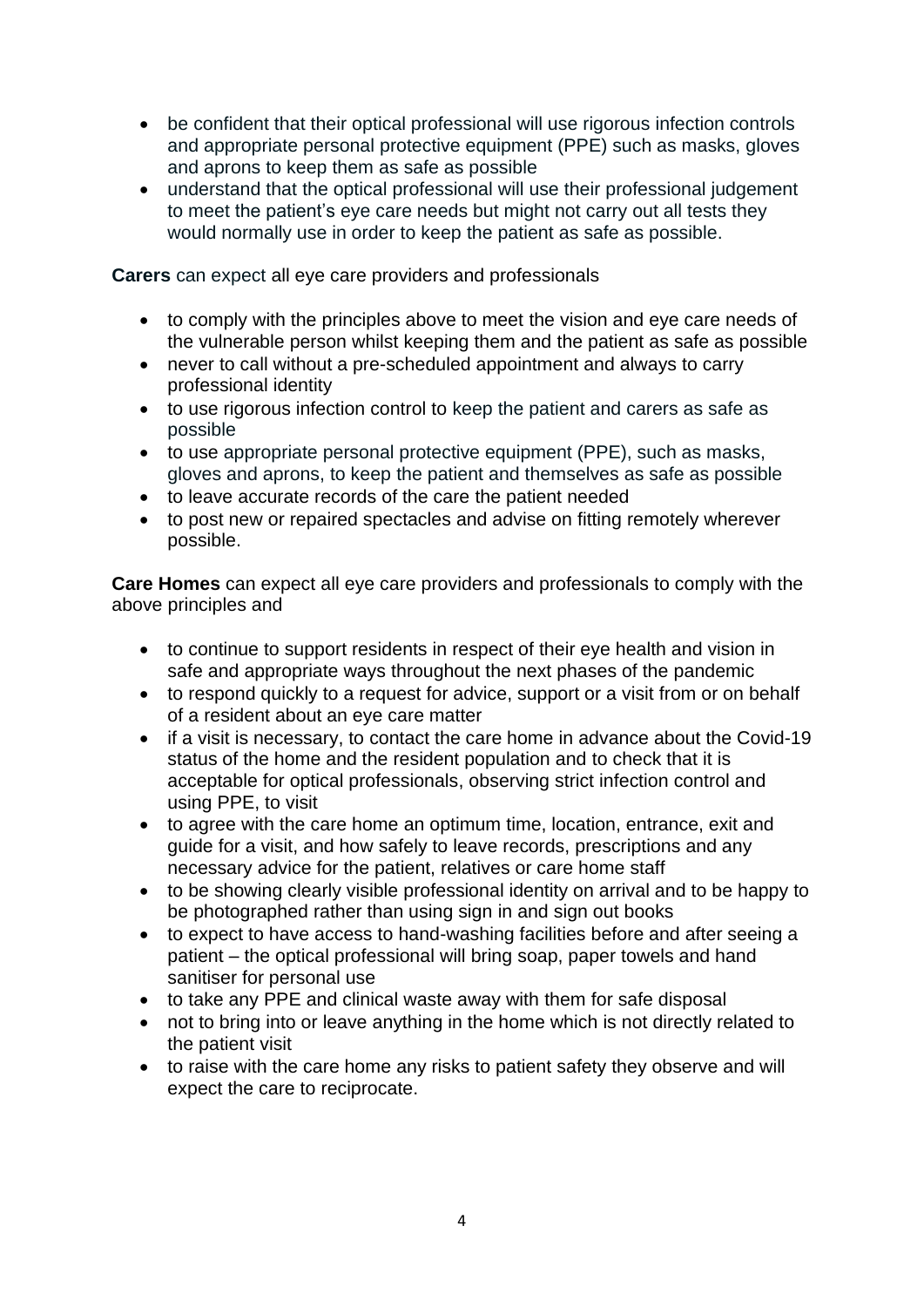- be confident that their optical professional will use rigorous infection controls and appropriate personal protective equipment (PPE) such as masks, gloves and aprons to keep them as safe as possible
- understand that the optical professional will use their professional judgement to meet the patient's eye care needs but might not carry out all tests they would normally use in order to keep the patient as safe as possible.

**Carers** can expect all eye care providers and professionals

- to comply with the principles above to meet the vision and eye care needs of the vulnerable person whilst keeping them and the patient as safe as possible
- never to call without a pre-scheduled appointment and always to carry professional identity
- to use rigorous infection control to keep the patient and carers as safe as possible
- to use appropriate personal protective equipment (PPE), such as masks, gloves and aprons, to keep the patient and themselves as safe as possible
- to leave accurate records of the care the patient needed
- to post new or repaired spectacles and advise on fitting remotely wherever possible.

**Care Homes** can expect all eye care providers and professionals to comply with the above principles and

- to continue to support residents in respect of their eye health and vision in safe and appropriate ways throughout the next phases of the pandemic
- to respond quickly to a request for advice, support or a visit from or on behalf of a resident about an eye care matter
- if a visit is necessary, to contact the care home in advance about the Covid-19 status of the home and the resident population and to check that it is acceptable for optical professionals, observing strict infection control and using PPE, to visit
- to agree with the care home an optimum time, location, entrance, exit and guide for a visit, and how safely to leave records, prescriptions and any necessary advice for the patient, relatives or care home staff
- to be showing clearly visible professional identity on arrival and to be happy to be photographed rather than using sign in and sign out books
- to expect to have access to hand-washing facilities before and after seeing a patient – the optical professional will bring soap, paper towels and hand sanitiser for personal use
- to take any PPE and clinical waste away with them for safe disposal
- not to bring into or leave anything in the home which is not directly related to the patient visit
- to raise with the care home any risks to patient safety they observe and will expect the care to reciprocate.